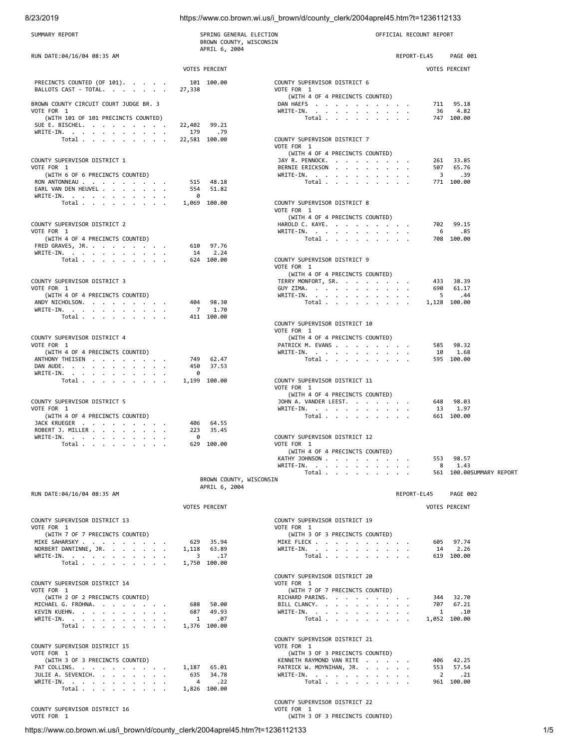# 8/23/2019 https://www.co.brown.wi.us/i\_brown/d/county\_clerk/2004aprel45.htm?t=1236112133

| SUMMARY REPORT                                        | SPRING GENERAL ELECTION<br>BROWN COUNTY, WISCONSIN |                                                             | OFFICIAL RECOUNT REPORT |                          |
|-------------------------------------------------------|----------------------------------------------------|-------------------------------------------------------------|-------------------------|--------------------------|
| RUN DATE:04/16/04 08:35 AM                            | APRIL 6, 2004                                      |                                                             | REPORT-EL45             | PAGE 001                 |
|                                                       | <b>VOTES PERCENT</b>                               |                                                             | <b>VOTES PERCENT</b>    |                          |
| PRECINCTS COUNTED (OF 101).                           | 101 100.00                                         | COUNTY SUPERVISOR DISTRICT 6                                |                         |                          |
| BALLOTS CAST - TOTAL.                                 | 27,338                                             | VOTE FOR 1                                                  |                         |                          |
| BROWN COUNTY CIRCUIT COURT JUDGE BR. 3                |                                                    | (WITH 4 OF 4 PRECINCTS COUNTED)<br>DAN HAEFS                |                         | 711 95.18                |
| VOTE FOR 1<br>(WITH 101 OF 101 PRECINCTS COUNTED)     |                                                    | WRITE-IN.                                                   |                         | 36 4.82<br>747 100.00    |
| SUE E. BISCHEL.                                       | 22,402 99.21                                       | Total                                                       |                         |                          |
| WRITE-IN.<br>Total                                    | 179<br>.79<br>22,581 100.00                        | COUNTY SUPERVISOR DISTRICT 7                                |                         |                          |
|                                                       |                                                    | VOTE FOR 1                                                  |                         |                          |
| COUNTY SUPERVISOR DISTRICT 1                          |                                                    | (WITH 4 OF 4 PRECINCTS COUNTED)<br>JAY R. PENNOCK.          |                         | 261 33.85                |
| VOTE FOR 1                                            |                                                    | BERNIE ERICKSON                                             |                         | 507 65.76                |
| (WITH 6 OF 6 PRECINCTS COUNTED)<br>RON ANTONNEAU      | 515 48.18                                          | WRITE-IN.<br>Total                                          |                         | 3 .39<br>771 100.00      |
| EARL VAN DEN HEUVEL<br>WRITE-IN.                      | 554<br>51.82<br>0                                  |                                                             |                         |                          |
| Total                                                 | 1,069 100.00                                       | COUNTY SUPERVISOR DISTRICT 8                                |                         |                          |
|                                                       |                                                    | VOTE FOR 1<br>(WITH 4 OF 4 PRECINCTS COUNTED)               |                         |                          |
| COUNTY SUPERVISOR DISTRICT 2                          |                                                    | HAROLD C. KAYE.                                             |                         | 702 99.15                |
| VOTE FOR 1<br>(WITH 4 OF 4 PRECINCTS COUNTED)         |                                                    | WRITE-IN.<br>Total                                          |                         | .85<br>6 —<br>708 100.00 |
| FRED GRAVES, JR.                                      | 610 97.76                                          |                                                             |                         |                          |
| WRITE-IN.<br>Total                                    | 14<br>2.24<br>624 100.00                           | COUNTY SUPERVISOR DISTRICT 9                                |                         |                          |
|                                                       |                                                    | VOTE FOR 1                                                  |                         |                          |
| COUNTY SUPERVISOR DISTRICT 3                          |                                                    | (WITH 4 OF 4 PRECINCTS COUNTED)<br>TERRY MONFORT, SR.       |                         | 433 38.39                |
| VOTE FOR 1                                            |                                                    | GUY ZIMA.                                                   | 690                     | 61.17                    |
| (WITH 4 OF 4 PRECINCTS COUNTED)<br>ANDY NICHOLSON.    | 98.30<br>404                                       | WRITE-IN.<br>Total                                          | 5<br>1,128 100.00       | .44                      |
| WRITE-IN.<br>Total                                    | 7 1.70<br>411 100.00                               |                                                             |                         |                          |
|                                                       |                                                    | COUNTY SUPERVISOR DISTRICT 10                               |                         |                          |
| COUNTY SUPERVISOR DISTRICT 4                          |                                                    | VOTE FOR 1<br>(WITH 4 OF 4 PRECINCTS COUNTED)               |                         |                          |
| VOTE FOR 1                                            |                                                    | PATRICK M. EVANS                                            | 585                     | 98.32                    |
| (WITH 4 OF 4 PRECINCTS COUNTED)<br>ANTHONY THEISEN    | 749 62.47                                          | WRITE-IN.<br>Total                                          | 10                      | 1.68<br>595 100.00       |
| DAN AUDE.                                             | 450<br>37.53                                       |                                                             |                         |                          |
| WRITE-IN.<br>Total                                    | 0<br>1,199 100.00                                  | COUNTY SUPERVISOR DISTRICT 11                               |                         |                          |
|                                                       |                                                    | VOTE FOR 1                                                  |                         |                          |
| COUNTY SUPERVISOR DISTRICT 5                          |                                                    | (WITH 4 OF 4 PRECINCTS COUNTED)<br>JOHN A. VANDER LEEST.    | 648                     | 98.03                    |
| VOTE FOR 1<br>(WITH 4 OF 4 PRECINCTS COUNTED)         |                                                    | WRITE-IN.                                                   | 13                      | 1.97<br>661 100.00       |
| JACK KRUEGER                                          | 64.55<br>406                                       | Total                                                       |                         |                          |
| ROBERT J. MILLER<br>WRITE-IN.                         | 223<br>35.45<br>0                                  | COUNTY SUPERVISOR DISTRICT 12                               |                         |                          |
| Total                                                 | 629 100.00                                         | VOTE FOR 1                                                  |                         |                          |
|                                                       |                                                    | (WITH 4 OF 4 PRECINCTS COUNTED)<br>KATHY JOHNSON            | 553                     | 98.57                    |
|                                                       |                                                    | WRITE-IN.                                                   | 8                       | 1.43                     |
|                                                       | BROWN COUNTY, WISCONSIN                            | Total                                                       |                         | 561 100.00SUMMARY REPORT |
| RUN DATE:04/16/04 08:35 AM                            | APRIL 6, 2004                                      |                                                             | REPORT-EL45             | PAGE 002                 |
|                                                       |                                                    |                                                             |                         |                          |
|                                                       | <b>VOTES PERCENT</b>                               |                                                             | <b>VOTES PERCENT</b>    |                          |
| COUNTY SUPERVISOR DISTRICT 13<br>VOTE FOR 1           |                                                    | COUNTY SUPERVISOR DISTRICT 19<br>VOTE FOR 1                 |                         |                          |
| (WITH 7 OF 7 PRECINCTS COUNTED)                       |                                                    | (WITH 3 OF 3 PRECINCTS COUNTED)                             |                         |                          |
| MIKE SAHARSKY<br>NORBERT DANTINNE, JR.                | 629 35.94<br>63.89<br>1,118                        | MIKE FLECK<br>WRITE-IN.                                     |                         | 605 97.74<br>14 2.26     |
| WRITE-IN.                                             | $\overline{\mathbf{3}}$<br>.17                     | Total $\cdots$ $\cdots$ $\cdots$                            |                         | 619 100.00               |
| Total                                                 | 1,750 100.00                                       |                                                             |                         |                          |
| COUNTY SUPERVISOR DISTRICT 14                         |                                                    | COUNTY SUPERVISOR DISTRICT 20<br>VOTE FOR 1                 |                         |                          |
| VOTE FOR 1                                            |                                                    | (WITH 7 OF 7 PRECINCTS COUNTED)                             |                         |                          |
| (WITH 2 OF 2 PRECINCTS COUNTED)<br>MICHAEL G. FROHNA. | 50.00<br>688                                       | RICHARD PARINS.<br>BILL CLANCY.                             |                         | 344 32.70<br>707 67.21   |
| KEVIN KUEHN.                                          | 687 49.93                                          | WRITE-IN.                                                   | $\mathbf{1}$            | .10                      |
| WRITE-IN.<br>Total                                    | 1<br>.07<br>1,376 100.00                           | Total                                                       | 1,052 100.00            |                          |
|                                                       |                                                    | COUNTY SUPERVISOR DISTRICT 21                               |                         |                          |
| COUNTY SUPERVISOR DISTRICT 15                         |                                                    | VOTE FOR 1                                                  |                         |                          |
| VOTE FOR 1<br>(WITH 3 OF 3 PRECINCTS COUNTED)         |                                                    | (WITH 3 OF 3 PRECINCTS COUNTED)<br>KENNETH RAYMOND VAN RITE |                         | 406 42.25                |
| PAT COLLINS.                                          | 1,187<br>65.01                                     | PATRICK W. MOYNIHAN, JR.                                    |                         | 553 57.54                |
| JULIE A. SEVENICH.<br>WRITE-IN.                       | 34.78<br>635<br>$\overline{4}$<br>.22              | WRITE-IN.<br>Total                                          |                         | 2.21<br>961 100.00       |
| Total                                                 | 1,826 100.00                                       |                                                             |                         |                          |
|                                                       |                                                    | COUNTY SUPERVISOR DISTRICT 22                               |                         |                          |
| COUNTY SUPERVISOR DISTRICT 16<br>VOTE FOR 1           |                                                    | VOTE FOR 1<br>(WITH 3 OF 3 PRECINCTS COUNTED)               |                         |                          |

https://www.co.brown.wi.us/i\_brown/d/county\_clerk/2004aprel45.htm?t=1236112133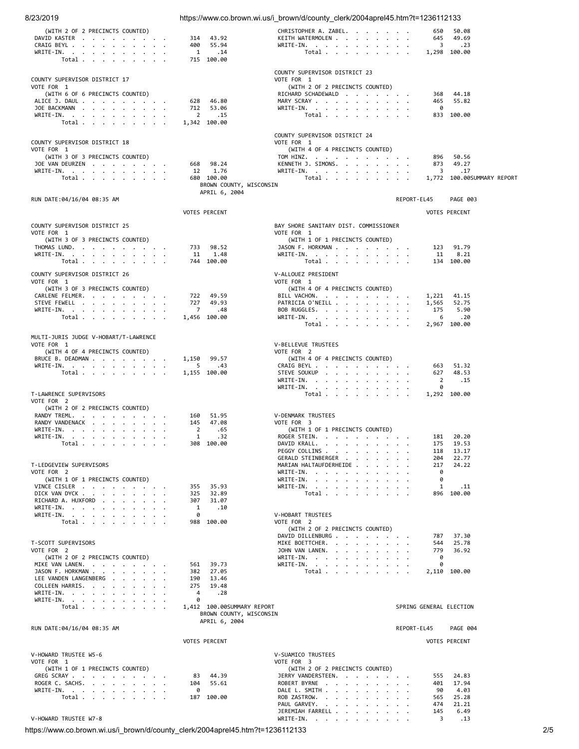| 8/23/2019                                           |                                                       | https://www.co.brown.wi.us/i brown/d/county clerk/2004aprel45.htm?t=1236112133 |                                         |  |
|-----------------------------------------------------|-------------------------------------------------------|--------------------------------------------------------------------------------|-----------------------------------------|--|
| (WITH 2 OF 2 PRECINCTS COUNTED)                     |                                                       | CHRISTOPHER A. ZABEL.                                                          | 50.08<br>650                            |  |
| DAVID KASTER<br>CRAIG BEYL                          | 314<br>43.92<br>400<br>55.94                          | KEITH WATERMOLEN<br>WRITE-IN.                                                  | 645<br>49.69<br>3<br>.23                |  |
| WRITE-IN.                                           | 1<br>.14                                              | Total                                                                          | 1,298 100.00                            |  |
| Total                                               | 715 100.00                                            |                                                                                |                                         |  |
| COUNTY SUPERVISOR DISTRICT 17                       |                                                       | COUNTY SUPERVISOR DISTRICT 23<br>VOTE FOR 1                                    |                                         |  |
| VOTE FOR 1                                          |                                                       | (WITH 2 OF 2 PRECINCTS COUNTED)                                                |                                         |  |
| (WITH 6 OF 6 PRECINCTS COUNTED)<br>ALICE J. DAUL    | 46.80<br>628                                          | RICHARD SCHADEWALD<br>MARY SCRAY                                               | 368<br>44.18<br>55.82<br>465            |  |
| JOE BACKMANN                                        | 712<br>53.06                                          | WRITE-IN.                                                                      | 0                                       |  |
| WRITE-IN.<br>Total                                  | $\overline{2}$<br>.15<br>1,342 100.00                 | Total                                                                          | 833 100.00                              |  |
|                                                     |                                                       | COUNTY SUPERVISOR DISTRICT 24                                                  |                                         |  |
| COUNTY SUPERVISOR DISTRICT 18                       |                                                       | VOTE FOR 1                                                                     |                                         |  |
| VOTE FOR 1<br>(WITH 3 OF 3 PRECINCTS COUNTED)       |                                                       | (WITH 4 OF 4 PRECINCTS COUNTED)<br>TOM HINZ.                                   | 896<br>50.56                            |  |
| JOE VAN DEURZEN                                     | 98.24<br>668                                          | KENNETH J. SIMONS.                                                             | 49.27<br>873                            |  |
| WRITE-IN.<br>Total                                  | 1.76<br>12<br>680 100.00                              | WRITE-IN.<br>Total                                                             | 3<br>.17<br>1,772 100.00 SUMMARY REPORT |  |
|                                                     | BROWN COUNTY, WISCONSIN                               |                                                                                |                                         |  |
| RUN DATE:04/16/04 08:35 AM                          | APRIL 6, 2004                                         |                                                                                | REPORT-EL45<br>PAGE 003                 |  |
|                                                     | <b>VOTES PERCENT</b>                                  |                                                                                | <b>VOTES PERCENT</b>                    |  |
|                                                     |                                                       |                                                                                |                                         |  |
| COUNTY SUPERVISOR DISTRICT 25<br>VOTE FOR 1         |                                                       | BAY SHORE SANITARY DIST. COMMISSIONER<br>VOTE FOR 1                            |                                         |  |
| (WITH 3 OF 3 PRECINCTS COUNTED)<br>THOMAS LUND.     | 733<br>98.52                                          | (WITH 1 OF 1 PRECINCTS COUNTED)<br>JASON F. HORKMAN                            | 123<br>91.79                            |  |
| WRITE-IN.                                           | 11<br>1.48                                            | WRITE-IN.                                                                      | 11<br>8.21                              |  |
| Total $\cdots$ $\cdots$ $\cdots$                    | 744 100.00                                            | Total $\cdots$ $\cdots$ $\cdots$                                               | 134 100.00                              |  |
| COUNTY SUPERVISOR DISTRICT 26                       |                                                       | V-ALLOUEZ PRESIDENT                                                            |                                         |  |
| VOTE FOR 1<br>(WITH 3 OF 3 PRECINCTS COUNTED)       |                                                       | VOTE FOR 1<br>(WITH 4 OF 4 PRECINCTS COUNTED)                                  |                                         |  |
| CARLENE FELMER.                                     | 722<br>49.59<br>727<br>49.93                          | BILL VACHON.                                                                   | 1,221 41.15                             |  |
| STEVE FEWELL<br>WRITE-IN.                           | $\overline{7}$<br>.48                                 | PATRICIA O'NEILL<br>BOB RUGGLES.                                               | 1,565<br>52.75<br>175<br>5.90           |  |
| Total $\ldots$ $\ldots$ $\ldots$ $\ldots$           | 1,456 100.00                                          | WRITE-IN.<br>Total                                                             | 6<br>.20<br>2,967 100.00                |  |
|                                                     |                                                       |                                                                                |                                         |  |
| MULTI-JURIS JUDGE V-HOBART/T-LAWRENCE<br>VOTE FOR 1 |                                                       | V-BELLEVUE TRUSTEES                                                            |                                         |  |
| (WITH 4 OF 4 PRECINCTS COUNTED)<br>BRUCE B. DEADMAN | 1,150<br>99.57                                        | VOTE FOR 2<br>(WITH 4 OF 4 PRECINCTS COUNTED)                                  |                                         |  |
| WRITE-IN.                                           | 5<br>.43                                              | CRAIG BEYL                                                                     | 663 51.32                               |  |
| Total                                               | 1,155 100.00                                          | STEVE SOUKUP<br>WRITE-IN.                                                      | 48.53<br>627<br>2<br>.15                |  |
|                                                     |                                                       | WRITE-IN.                                                                      | 0                                       |  |
| T-LAWRENCE SUPERVISORS<br>VOTE FOR 2                |                                                       | Total $\ldots$ $\ldots$ $\ldots$ $\ldots$                                      | 1,292 100.00                            |  |
| (WITH 2 OF 2 PRECINCTS COUNTED)                     |                                                       |                                                                                |                                         |  |
| RANDY TREML.<br>RANDY VANDENACK                     | 51.95<br>160<br>145<br>47.08                          | V-DENMARK TRUSTEES<br>VOTE FOR 3                                               |                                         |  |
| WRITE-IN.<br>WRITE-IN.                              | 2<br>.65<br>1<br>.32                                  | (WITH 1 OF 1 PRECINCTS COUNTED)<br>ROGER STEIN.                                | 181<br>20.20                            |  |
| Total                                               | 308 100.00                                            | DAVID KRALL.                                                                   | 175<br>19.53                            |  |
|                                                     |                                                       | PEGGY COLLINS<br>GERALD STEINBERGER                                            | 118<br>13.17<br>204<br>22.77            |  |
| T-LEDGEVIEW SUPERVISORS                             |                                                       | MARIAN HALTAUFDERHEIDE                                                         | 217<br>24.22                            |  |
| VOTE FOR 2<br>(WITH 1 OF 1 PRECINCTS COUNTED)       |                                                       | WRITE-IN.<br>WRITE-IN.                                                         | 0<br>0                                  |  |
| VINCE CISLER<br>DICK VAN DYCK                       | 35.93<br>355<br>325                                   | WRITE-IN.                                                                      | 1<br>. 11<br>896 100.00                 |  |
| RICHARD A. HUXFORD                                  | 32.89<br>307<br>31.07                                 | Total                                                                          |                                         |  |
| WRITE-IN.<br>WRITE-IN.                              | 1<br>.10<br>0                                         | <b>V-HOBART TRUSTEES</b>                                                       |                                         |  |
| Total                                               | 988 100.00                                            | VOTE FOR 2                                                                     |                                         |  |
|                                                     |                                                       | (WITH 2 OF 2 PRECINCTS COUNTED)<br>DAVID DILLENBURG                            | 37.30<br>787                            |  |
| T-SCOTT SUPERVISORS<br>VOTE FOR 2                   |                                                       | MIKE BOETTCHER.<br>JOHN VAN LANEN.                                             | 544<br>25.78<br>779<br>36.92            |  |
| (WITH 2 OF 2 PRECINCTS COUNTED)                     |                                                       | WRITE-IN.                                                                      | 0                                       |  |
| MIKE VAN LANEN.<br>JASON F. HORKMAN                 | 39.73<br>561<br>382<br>27.05                          | WRITE-IN.<br>Total $\cdots$ $\cdots$ $\cdots$                                  | 0<br>2,110 100.00                       |  |
| LEE VANDEN LANGENBERG                               | 190<br>13.46                                          |                                                                                |                                         |  |
| COLLEEN HARRIS.<br>WRITE-IN.                        | 275<br>19.48<br>4<br>.28                              |                                                                                |                                         |  |
| WRITE-IN.                                           | 0                                                     |                                                                                |                                         |  |
| Total                                               | 1,412 100.00SUMMARY REPORT<br>BROWN COUNTY, WISCONSIN |                                                                                | SPRING GENERAL ELECTION                 |  |
| RUN DATE:04/16/04 08:35 AM                          | APRIL 6, 2004                                         |                                                                                | REPORT-EL45<br>PAGE 004                 |  |
|                                                     |                                                       |                                                                                |                                         |  |
|                                                     | <b>VOTES PERCENT</b>                                  |                                                                                | <b>VOTES PERCENT</b>                    |  |
| V-HOWARD TRUSTEE W5-6<br>VOTE FOR 1                 |                                                       | V-SUAMICO TRUSTEES<br>VOTE FOR 3                                               |                                         |  |
| (WITH 1 OF 1 PRECINCTS COUNTED)                     |                                                       | (WITH 2 OF 2 PRECINCTS COUNTED)                                                |                                         |  |
| GREG SCRAY<br>ROGER C. SACHS.                       | 44.39<br>83<br>104<br>55.61                           | JERRY VANDERSTEEN.<br>ROBERT BYRNE                                             | 24.83<br>555<br>17.94<br>401            |  |
| WRITE-IN.                                           | 0                                                     | DALE L. SMITH                                                                  | 4.03<br>90                              |  |
| Total                                               | 187 100.00                                            | ROB ZASTROW.<br>PAUL GARVEY.                                                   | 565<br>25.28<br>21.21<br>474            |  |
| V-HOWARD TRUSTEE W7-8                               |                                                       | JEREMIAH FARRELL<br>WRITE-IN.                                                  | 6.49<br>145<br>3<br>.13                 |  |
|                                                     |                                                       |                                                                                |                                         |  |

https://www.co.brown.wi.us/i\_brown/d/county\_clerk/2004aprel45.htm?t=1236112133 2/5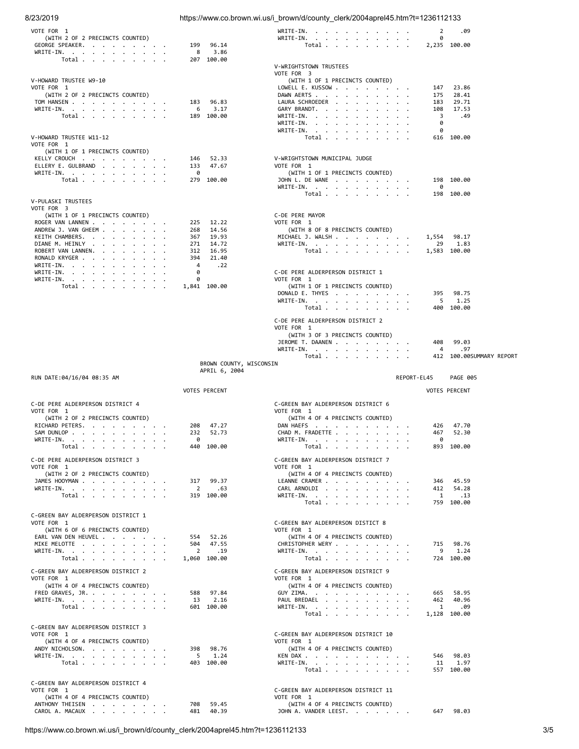# 8/23/2019 https://www.co.brown.wi.us/i\_brown/d/county\_clerk/2004aprel45.htm?t=1236112133

| VOTE FOR 1                                             |                                     | WRITE-IN.<br>2<br>.09                                                                                                   |  |
|--------------------------------------------------------|-------------------------------------|-------------------------------------------------------------------------------------------------------------------------|--|
| (WITH 2 OF 2 PRECINCTS COUNTED)<br>GEORGE SPEAKER.     | 96.14<br>199                        | WRITE-IN.<br>0<br>2,235 100.00<br>Total $\cdots$ $\cdots$ $\cdots$                                                      |  |
| WRITE-IN.                                              | 3.86<br>8                           |                                                                                                                         |  |
| Total $\cdots$ $\cdots$ $\cdots$                       | 207 100.00                          | V-WRIGHTSTOWN TRUSTEES                                                                                                  |  |
|                                                        |                                     | VOTE FOR 3                                                                                                              |  |
| V-HOWARD TRUSTEE W9-10<br>VOTE FOR 1                   |                                     | (WITH 1 OF 1 PRECINCTS COUNTED)<br>LOWELL E. KUSSOW<br>147<br>23.86                                                     |  |
| (WITH 2 OF 2 PRECINCTS COUNTED)                        |                                     | DAWN AERTS<br>175<br>28.41                                                                                              |  |
| TOM HANSEN<br>WRITE-IN.                                | 96.83<br>183<br>3.17<br>6           | LAURA SCHROEDER<br>29.71<br>183<br>GARY BRANDT.<br>108<br>17.53                                                         |  |
| Total $\cdots$ $\cdots$ $\cdots$                       | 189 100.00                          | 3<br>WRITE-IN.<br>.49                                                                                                   |  |
|                                                        |                                     | 0<br>WRITE-IN.<br>0<br>WRITE-IN.                                                                                        |  |
| V-HOWARD TRUSTEE W11-12                                |                                     | Total<br>616 100.00                                                                                                     |  |
| VOTE FOR 1                                             |                                     |                                                                                                                         |  |
| (WITH 1 OF 1 PRECINCTS COUNTED)<br>KELLY CROUCH        | 146<br>52.33                        | V-WRIGHTSTOWN MUNICIPAL JUDGE                                                                                           |  |
| ELLERY E. GULBRAND                                     | 47.67<br>133                        | VOTE FOR 1                                                                                                              |  |
| WRITE-IN.<br>Total $\ldots$ $\ldots$ $\ldots$ $\ldots$ | 0<br>279 100.00                     | (WITH 1 OF 1 PRECINCTS COUNTED)<br>JOHN L. DE WANE<br>198 100.00                                                        |  |
|                                                        |                                     | WRITE-IN.<br>0                                                                                                          |  |
| V-PULASKI TRUSTEES                                     |                                     | Total<br>198 100.00                                                                                                     |  |
| VOTE FOR 3                                             |                                     |                                                                                                                         |  |
| (WITH 1 OF 1 PRECINCTS COUNTED)<br>ROGER VAN LANNEN    | 225<br>12.22                        | C-DE PERE MAYOR<br>VOTE FOR 1                                                                                           |  |
| ANDREW J. VAN GHEEM                                    | 268<br>14.56                        | (WITH 8 OF 8 PRECINCTS COUNTED)                                                                                         |  |
| KEITH CHAMBERS.<br>DIANE M. HEINLY                     | 19.93<br>367<br>271<br>14.72        | MICHAEL J. WALSH<br>1,554<br>98.17<br>WRITE-IN. $\cdot$ , $\cdot$ , $\cdot$ , $\cdot$ , $\cdot$ , $\cdot$<br>29<br>1.83 |  |
| ROBERT VAN LANNEN.                                     | 16.95<br>312                        | Total<br>1,583 100.00                                                                                                   |  |
| RONALD KRYGER                                          | 394<br>21.40                        |                                                                                                                         |  |
| WRITE-IN.<br>WRITE-IN.                                 | 4<br>.22<br>0                       | C-DE PERE ALDERPERSON DISTRICT 1                                                                                        |  |
| WRITE-IN.                                              | 0                                   | VOTE FOR 1                                                                                                              |  |
| Total $\cdots$ $\cdots$ $\cdots$                       | 1,841 100.00                        | (WITH 1 OF 1 PRECINCTS COUNTED)<br>DONALD E. THYES<br>395<br>98.75                                                      |  |
|                                                        |                                     | WRITE-IN.<br>5<br>1.25                                                                                                  |  |
|                                                        |                                     | Total<br>400 100.00                                                                                                     |  |
|                                                        |                                     | C-DE PERE ALDERPERSON DISTRICT 2                                                                                        |  |
|                                                        |                                     | VOTE FOR 1<br>(WITH 3 OF 3 PRECINCTS COUNTED)                                                                           |  |
|                                                        |                                     | JEROME T. DAANEN<br>99.03<br>408                                                                                        |  |
|                                                        |                                     | WRITE-IN.<br>.97<br>4                                                                                                   |  |
|                                                        | BROWN COUNTY, WISCONSIN             | Total<br>412 100.00 SUMMARY REPORT                                                                                      |  |
|                                                        |                                     |                                                                                                                         |  |
|                                                        | APRIL 6, 2004                       |                                                                                                                         |  |
| RUN DATE:04/16/04 08:35 AM                             |                                     | REPORT-EL45<br><b>PAGE 005</b>                                                                                          |  |
|                                                        | <b>VOTES PERCENT</b>                | <b>VOTES PERCENT</b>                                                                                                    |  |
| C-DE PERE ALDERPERSON DISTRICT 4                       |                                     | C-GREEN BAY ALDERPERSON DISTRICT 6                                                                                      |  |
| VOTE FOR 1                                             |                                     | VOTE FOR 1                                                                                                              |  |
| (WITH 2 OF 2 PRECINCTS COUNTED)<br>RICHARD PETERS.     | 47.27<br>208                        | (WITH 4 OF 4 PRECINCTS COUNTED)<br>DAN HAEFS<br>426<br>47.70                                                            |  |
| SAM DUNLOP                                             | 232<br>52.73                        | CHAD M. FRADETTE<br>467<br>52.30                                                                                        |  |
| WRITE-IN.                                              | 0<br>440 100.00                     | 0<br>WRITE-IN.<br>893 100.00                                                                                            |  |
| Total $\cdots$ $\cdots$ $\cdots$                       |                                     | $\begin{tabular}{ccccccccccccc} Total & . & . & . & . & . & . & . & . \end{tabular}$                                    |  |
| C-DE PERE ALDERPERSON DISTRICT 3<br>VOTE FOR 1         |                                     | C-GREEN BAY ALDERPERSON DISTRICT 7<br>VOTE FOR 1                                                                        |  |
| (WITH 2 OF 2 PRECINCTS COUNTED)                        |                                     | (WITH 4 OF 4 PRECINCTS COUNTED)                                                                                         |  |
| JAMES HOOYMAN                                          | 317 99.37                           | LEANNE CRAMER<br>346 45.59<br>CARL ARNOLDI, , , , , , , , ,                                                             |  |
| WRITE-IN.<br>Total $\cdots$ $\cdots$ $\cdots$          | $\overline{2}$<br>.63<br>319 100.00 | 412 54.28<br>WRITE-IN.<br>1.13                                                                                          |  |
|                                                        |                                     | Total<br>759 100.00                                                                                                     |  |
| C-GREEN BAY ALDERPERSON DISTRICT 1                     |                                     |                                                                                                                         |  |
| VOTE FOR 1<br>(WITH 6 OF 6 PRECINCTS COUNTED)          |                                     | C-GREEN BAY ALDERPERSON DISTICT 8<br>VOTE FOR 1                                                                         |  |
| EARL VAN DEN HEUVEL                                    | 554 52.26                           | (WITH 4 OF 4 PRECINCTS COUNTED)                                                                                         |  |
| MIKE MELOTTE                                           | 504 47.55<br>$\overline{2}$<br>.19  | CHRISTOPHER WERY<br>715 98.76<br>9 1.24                                                                                 |  |
| WRITE-IN.<br>Total                                     | 1,060 100.00                        | WRITE-IN.<br>Total<br>724 100.00                                                                                        |  |
| C-GREEN BAY ALDERPERSON DISTRICT 2                     |                                     | C-GREEN BAY ALDERPERSON DISTRICT 9                                                                                      |  |
| VOTE FOR 1                                             |                                     | VOTE FOR 1                                                                                                              |  |
| (WITH 4 OF 4 PRECINCTS COUNTED)                        |                                     | (WITH 4 OF 4 PRECINCTS COUNTED)                                                                                         |  |
| FRED GRAVES, JR.<br>WRITE-IN.                          | 588 97.84<br>13 2.16                | 665 58.95<br>GUY ZIMA.<br>PAUL BREDAEL<br>462 40.96                                                                     |  |
| Total $\cdots$ $\cdots$ $\cdots$                       | 601 100.00                          | $\mathbf{1}$<br>.09<br>WRITE-IN.                                                                                        |  |
|                                                        |                                     | Total<br>1,128 100.00                                                                                                   |  |
| C-GREEN BAY ALDERPERSON DISTRICT 3                     |                                     |                                                                                                                         |  |
| VOTE FOR 1<br>(WITH 4 OF 4 PRECINCTS COUNTED)          |                                     | C-GREEN BAY ALDERPERSON DISTRICT 10<br>VOTE FOR 1                                                                       |  |
| ANDY NICHOLSON.                                        | 398 98.76                           | (WITH 4 OF 4 PRECINCTS COUNTED)                                                                                         |  |
| WRITE-IN.<br>Total $\ldots$ $\ldots$ $\ldots$ $\ldots$ | $5 \t 1.24$<br>403 100.00           | KEN DAX<br>546 98.03<br>11 1.97                                                                                         |  |
|                                                        |                                     | WRITE-IN.<br>Total $\ldots$ $\ldots$ $\ldots$ $\ldots$<br>557 100.00                                                    |  |
| C-GREEN BAY ALDERPERSON DISTRICT 4                     |                                     |                                                                                                                         |  |
| VOTE FOR 1                                             |                                     | C-GREEN BAY ALDERPERSON DISTRICT 11                                                                                     |  |
| (WITH 4 OF 4 PRECINCTS COUNTED)<br>ANTHONY THEISEN     | 708 59.45                           | VOTE FOR 1<br>(WITH 4 OF 4 PRECINCTS COUNTED)                                                                           |  |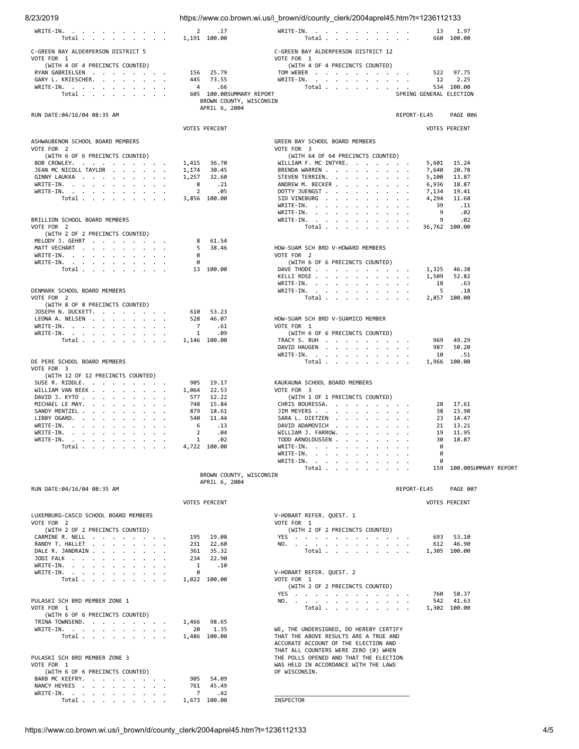| 8/23/2019                                                                           |                                                                      | https://www.co.brown.wi.us/i brown/d/county clerk/2004aprel45.htm?t=1236112133                                                  |                                  |
|-------------------------------------------------------------------------------------|----------------------------------------------------------------------|---------------------------------------------------------------------------------------------------------------------------------|----------------------------------|
| WRITE-IN.<br>Total $\cdots$ $\cdots$ $\cdots$                                       | 2<br>.17<br>1,191 100.00                                             | WRITE-IN.<br>Total $\cdots$ $\cdots$ $\cdots$                                                                                   | 13<br>1.97<br>660 100.00         |
| C-GREEN BAY ALDERPERSON DISTRICT 5<br>VOTE FOR 1<br>(WITH 4 OF 4 PRECINCTS COUNTED) |                                                                      | C-GREEN BAY ALDERPERSON DISTRICT 12<br>VOTE FOR 1<br>(WITH 4 OF 4 PRECINCTS COUNTED)                                            |                                  |
| RYAN GABRIELSEN                                                                     | 25.79<br>156                                                         | TOM WEBER                                                                                                                       | 522<br>97.75                     |
| GARY L. KRIESCHER.<br>WRITE-IN.                                                     | 445<br>73.55<br>$\overline{4}$<br>.66                                | WRITE-IN.<br>Total                                                                                                              | 2.25<br>12<br>534 100.00         |
| Total $\cdots$ $\cdots$ $\cdots$                                                    | 605 100.00SUMMARY REPORT<br>BROWN COUNTY, WISCONSIN<br>APRIL 6, 2004 |                                                                                                                                 | SPRING GENERAL ELECTION          |
| RUN DATE:04/16/04 08:35 AM                                                          |                                                                      |                                                                                                                                 | REPORT-EL45<br><b>PAGE 006</b>   |
|                                                                                     | <b>VOTES PERCENT</b>                                                 |                                                                                                                                 | <b>VOTES PERCENT</b>             |
| ASHWAUBENON SCHOOL BOARD MEMBERS                                                    |                                                                      | GREEN BAY SCHOOL BOARD MEMBERS                                                                                                  |                                  |
| VOTE FOR 2                                                                          |                                                                      | VOTE FOR 3                                                                                                                      |                                  |
| (WITH 6 OF 6 PRECINCTS COUNTED)<br>BOB CROWLEY.                                     | 1,415<br>36.70                                                       | (WITH 64 OF 64 PRECINCTS COUNTED)<br>WILLIAM F. MC INTYRE.                                                                      | 5,601<br>15.24                   |
| JEAN MC NICOLL TAYLOR                                                               | 1,174<br>30.45                                                       | BRENDA WARREN                                                                                                                   | 7,640<br>20.78                   |
| GINNY LAUKKA<br>WRITE-IN.                                                           | 1,257<br>32.60<br>8<br>.21                                           | STEVEN TERRIEN.<br>ANDREW M. BECKER                                                                                             | 5,100<br>13.87<br>6,936<br>18.87 |
| WRITE-IN.                                                                           | 2<br>.05                                                             | DOTTY JUENGST                                                                                                                   | 7,134<br>19.41                   |
| Total $\cdots$ $\cdots$ $\cdots$                                                    | 3,856 100.00                                                         | SID VINEBURG<br>the contract of the contract of the contract of the contract of the contract of the contract of the contract of | 4,294<br>11.68                   |
|                                                                                     |                                                                      | WRITE-IN.<br>WRITE-IN.                                                                                                          | 39<br>. 11<br>9<br>.02           |
| BRILLION SCHOOL BOARD MEMBERS                                                       |                                                                      | WRITE-IN.                                                                                                                       | 9<br>.02                         |
| VOTE FOR 2<br>(WITH 2 OF 2 PRECINCTS COUNTED)                                       |                                                                      | Total $\cdots$ $\cdots$ $\cdots$                                                                                                | 36,762 100.00                    |
| MELODY J. GEHRT                                                                     | 8<br>61.54                                                           |                                                                                                                                 |                                  |
| MATT VECHART                                                                        | 5<br>38.46                                                           | HOW-SUAM SCH BRD V-HOWARD MEMBERS                                                                                               |                                  |
| WRITE-IN.<br>WRITE-IN.                                                              | 0<br>0                                                               | VOTE FOR 2<br>(WITH 6 OF 6 PRECINCTS COUNTED)                                                                                   |                                  |
| Total $\cdots$ $\cdots$ $\cdots$                                                    | 13 100.00                                                            | DAVE THODE                                                                                                                      | 1,325<br>46.38                   |
|                                                                                     |                                                                      | KELLI ROSE                                                                                                                      | 1,509<br>52.82                   |
| DENMARK SCHOOL BOARD MEMBERS                                                        |                                                                      | WRITE-IN.<br>WRITE-IN.                                                                                                          | 18<br>.63<br>5<br>.18            |
| VOTE FOR 2                                                                          |                                                                      | Total                                                                                                                           | 2,857 100.00                     |
| (WITH 8 OF 8 PRECINCTS COUNTED)<br>JOSEPH N. DUCKETT.                               | 610<br>53.23                                                         |                                                                                                                                 |                                  |
| LEONA A. NELSEN                                                                     | 528<br>46.07                                                         | HOW-SUAM SCH BRD V-SUAMICO MEMBER                                                                                               |                                  |
| WRITE-IN.<br>WRITE-IN.                                                              | 7<br>.61<br>1<br>.09                                                 | VOTE FOR 1<br>(WITH 6 OF 6 PRECINCTS COUNTED)                                                                                   |                                  |
| Total $\ldots$ $\ldots$ $\ldots$ $\ldots$                                           | 1,146 100.00                                                         | TRACY S. RUH                                                                                                                    | 969<br>49.29                     |
|                                                                                     |                                                                      | DAVID HAUGEN                                                                                                                    | 50.20<br>987                     |
| DE PERE SCHOOL BOARD MEMBERS                                                        |                                                                      | WRITE-IN.<br>Total $\cdots$                                                                                                     | 10<br>.51<br>1,966 100.00        |
| VOTE FOR 3                                                                          |                                                                      |                                                                                                                                 |                                  |
| (WITH 12 OF 12 PRECINCTS COUNTED)<br>SUSE R. RIDDLE.                                | 905<br>19.17                                                         | KAUKAUNA SCHOOL BOARD MEMBERS                                                                                                   |                                  |
| WILLIAM VAN BEEK.                                                                   | 1,064<br>22.53                                                       | VOTE FOR 3                                                                                                                      |                                  |
| DAVID J. KYTO<br>MICHAEL LE MAY.                                                    | 577<br>12.22<br>748<br>15.84                                         | (WITH 1 OF 1 PRECINCTS COUNTED)<br>CHRIS BOURESSA.                                                                              | 17.61<br>28                      |
| SANDY MENTZEL                                                                       | 879<br>18.61                                                         | JIM MEYERS                                                                                                                      | 38<br>23.90                      |
| LIBBY OGARD.<br>WRITE-IN.                                                           | 11.44<br>540<br>6<br>.13                                             | SARA L. DIETZEN<br>DAVID ADAMOVICH                                                                                              | 23<br>14.47<br>21<br>13.21       |
| WRITE-IN.                                                                           | .04<br>z                                                             | WILLIAM J. FARROW.                                                                                                              | 19<br>11.95                      |
| WRITE-IN.                                                                           | 1<br>.02                                                             | TODD ARNOLDUSSEN                                                                                                                | 30<br>18.87                      |
| Total $\cdots$ $\cdots$ $\cdots$                                                    | 4,722 100.00                                                         | WRITE-IN.<br>WRITE-IN.                                                                                                          | 0<br>0                           |
|                                                                                     |                                                                      | WRITE-IN, $\cdot$ , $\cdot$ , $\cdot$ , $\cdot$ , $\cdot$ , $\cdot$                                                             | 0                                |
|                                                                                     | BROWN COUNTY, WISCONSIN                                              | Total $\cdots$ $\cdots$ $\cdots$                                                                                                | 159<br>100.00SUMMARY REPORT      |
|                                                                                     | APRIL 6, 2004                                                        |                                                                                                                                 |                                  |
| RUN DATE:04/16/04 08:35 AM                                                          |                                                                      |                                                                                                                                 | REPORT-EL45<br>PAGE 007          |
|                                                                                     | <b>VOTES PERCENT</b>                                                 |                                                                                                                                 | <b>VOTES PERCENT</b>             |
| LUXEMBURG-CASCO SCHOOL BOARD MEMBERS                                                |                                                                      | V-HOBART REFER. QUEST. 1                                                                                                        |                                  |
| VOTE FOR 2<br>(WITH 2 OF 2 PRECINCTS COUNTED)                                       |                                                                      | VOTE FOR 1<br>(WITH 2 OF 2 PRECINCTS COUNTED)                                                                                   |                                  |
| CARMINE R. NELL                                                                     | 19.08<br>195                                                         | YES                                                                                                                             | 693<br>53.10                     |
| RANDY T. HALLET                                                                     | 231<br>22.60                                                         | NO.                                                                                                                             | 612 46.90                        |
| DALE R. JANDRAIN<br>JODI FALK                                                       | 35.32<br>361<br>22.90<br>234                                         | Total $\cdots$ $\cdots$ $\cdots$                                                                                                | 1,305 100.00                     |
| WRITE-IN.                                                                           | 1<br>.10                                                             |                                                                                                                                 |                                  |
| WRITE-IN.<br>Total $\ldots$ $\ldots$ $\ldots$ $\ldots$                              | 0<br>1,022 100.00                                                    | V-HOBART REFER. QUEST. 2<br>VOTE FOR 1                                                                                          |                                  |
|                                                                                     |                                                                      | (WITH 2 OF 2 PRECINCTS COUNTED)                                                                                                 |                                  |
| PULASKI SCH BRD MEMBER ZONE 1                                                       |                                                                      | YES<br>NO.                                                                                                                      | 58.37<br>760<br>542 41.63        |
| VOTE FOR 1                                                                          |                                                                      | Total                                                                                                                           | 1,302 100.00                     |
| (WITH 6 OF 6 PRECINCTS COUNTED)                                                     |                                                                      |                                                                                                                                 |                                  |
| TRINA TOWNSEND.<br>WRITE-IN.                                                        | 1,466<br>98.65<br>1.35<br>20                                         | WE, THE UNDERSIGNED, DO HEREBY CERTIFY                                                                                          |                                  |
| Total $\ldots$ $\ldots$ $\ldots$ $\ldots$                                           | 1,486 100.00                                                         | THAT THE ABOVE RESULTS ARE A TRUE AND                                                                                           |                                  |
|                                                                                     |                                                                      | ACCURATE ACCOUNT OF THE ELECTION AND<br>THAT ALL COUNTERS WERE ZERO (0) WHEN                                                    |                                  |
| PULASKI SCH BRD MEMBER ZONE 3                                                       |                                                                      | THE POLLS OPENED AND THAT THE ELECTION                                                                                          |                                  |
| VOTE FOR 1<br>(WITH 6 OF 6 PRECINCTS COUNTED)                                       |                                                                      | WAS HELD IN ACCORDANCE WITH THE LAWS<br>OF WISCONSIN.                                                                           |                                  |
| BARB MC KEEFRY.                                                                     | 905<br>54.09                                                         |                                                                                                                                 |                                  |
| NANCY HEYKES                                                                        | 45.49<br>761                                                         |                                                                                                                                 |                                  |
| WRITE-IN.<br>Total $\cdots$ $\cdots$ $\cdots$                                       | 7<br>.42<br>1,673 100.00                                             | INSPECTOR                                                                                                                       |                                  |